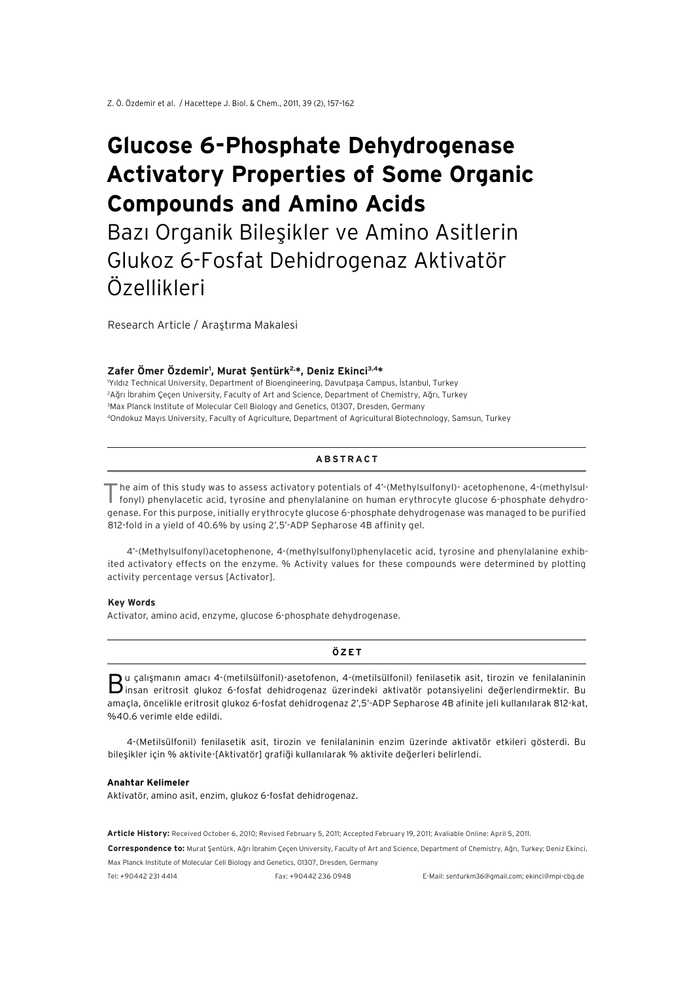# **Glucose 6-Phosphate Dehydrogenase Activatory Properties of Some Organic Compounds and Amino Acids**

Bazı Organik Bileşikler ve Amino Asitlerin Glukoz 6-Fosfat Dehidrogenaz Aktivatör Özellikleri

Research Article / Araştırma Makalesi

#### **Zafer Ömer Özdemir1 , Murat Şentürk2,\*, Deniz Ekinci3,4\***

 Yıldız Technical University, Department of Bioengineering, Davutpaşa Campus, İstanbul, Turkey Ağrı İbrahim Çeçen University, Faculty of Art and Science, Department of Chemistry, Ağrı, Turkey Max Planck Institute of Molecular Cell Biology and Genetics, 01307, Dresden, Germany 4Ondokuz Mayıs University, Faculty of Agriculture, Department of Agricultural Biotechnology, Samsun, Turkey

#### **ABSTRACT**

The aim of this study was to assess activatory potentials of 4'-(Methylsulfonyl)- acetophenone, 4-(methylsulfonyl) phenylacetic acid, tyrosine and phenylalanine on human erythrocyte glucose 6-phosphate dehydrogenase. For this purpose, initially erythrocyte glucose 6-phosphate dehydrogenase was managed to be purified 812-fold in a yield of 40.6% by using 2',5'-ADP Sepharose 4B affinity gel.

4'-(Methylsulfonyl)acetophenone, 4-(methylsulfonyl)phenylacetic acid, tyrosine and phenylalanine exhibited activatory effects on the enzyme. % Activity values for these compounds were determined by plotting activity percentage versus [Activator].

#### **Key Words**

Activator, amino acid, enzyme, glucose 6-phosphate dehydrogenase.

**ÖZET**

Bu çalışmanın amacı 4-(metilsülfonil)-asetofenon, 4-(metilsülfonil) fenilasetik asit, tirozin ve fenilalaninin insan eritrosit glukoz 6-fosfat dehidrogenaz üzerindeki aktivatör potansiyelini değerlendirmektir. Bu amaçla, öncelikle eritrosit glukoz 6-fosfat dehidrogenaz 2',5'-ADP Sepharose 4B afinite jeli kullanılarak 812-kat, %40.6 verimle elde edildi.

4-(Metilsülfonil) fenilasetik asit, tirozin ve fenilalaninin enzim üzerinde aktivatör etkileri gösterdi. Bu bileşikler için % aktivite-[Aktivatör] grafiği kullanılarak % aktivite değerleri belirlendi.

#### **Anahtar Kelimeler**

Aktivatör, amino asit, enzim, glukoz 6-fosfat dehidrogenaz.

**Article History:** Received October 6, 2010; Revised February 5, 2011; Accepted February 19, 2011; Avaliable Online: April 5, 2011.

**Correspondence to:** Murat Şentürk, Ağrı İbrahim Çeçen University, Faculty of Art and Science, Department of Chemistry, Ağrı, Turkey; Deniz Ekinci, Max Planck Institute of Molecular Cell Biology and Genetics, 01307, Dresden, Germany

Tel: +90442 231 4414 Fax: +90442 236 0948 E-Mail: senturkm36@gmail.com; ekinci@mpi-cbg.de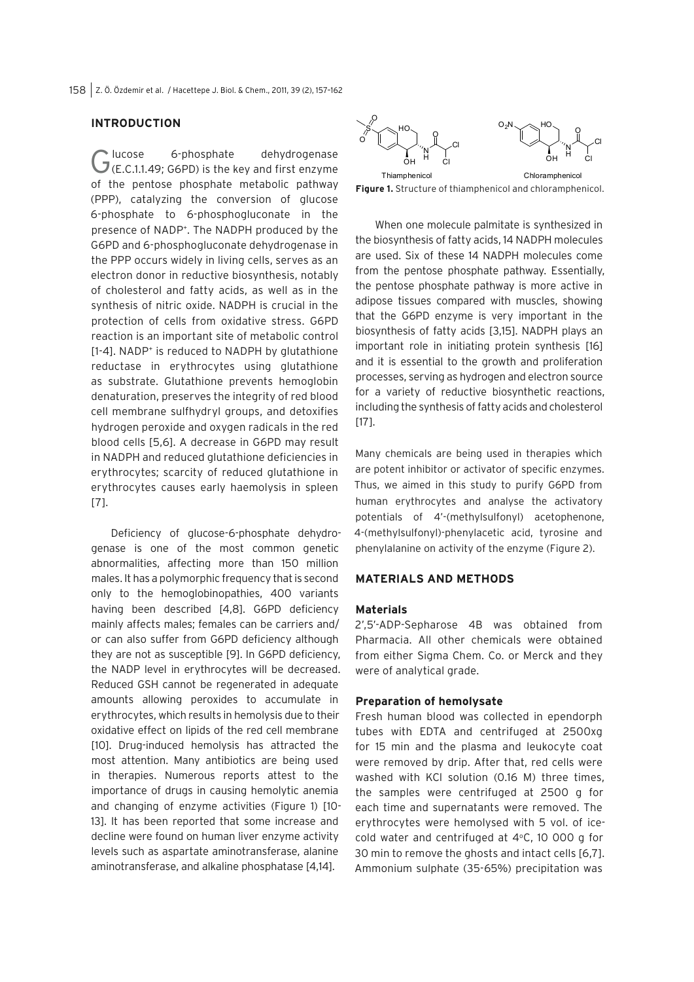### **INTRODUCTION**

Glucose 6-phosphate dehydrogenase<br>
G(E.C.1.1.49; G6PD) is the key and first enzyme of the pentose phosphate metabolic pathway (PPP), catalyzing the conversion of glucose 6-phosphate to 6-phosphogluconate in the presence of NADP+ . The NADPH produced by the G6PD and 6-phosphogluconate dehydrogenase in the PPP occurs widely in living cells, serves as an electron donor in reductive biosynthesis, notably of cholesterol and fatty acids, as well as in the synthesis of nitric oxide. NADPH is crucial in the protection of cells from oxidative stress. G6PD reaction is an important site of metabolic control [1-4]. NADP<sup>+</sup> is reduced to NADPH by glutathione reductase in erythrocytes using glutathione as substrate. Glutathione prevents hemoglobin denaturation, preserves the integrity of red blood cell membrane sulfhydryl groups, and detoxifies hydrogen peroxide and oxygen radicals in the red blood cells [5,6]. A decrease in G6PD may result in NADPH and reduced glutathione deficiencies in erythrocytes; scarcity of reduced glutathione in erythrocytes causes early haemolysis in spleen [7].

Deficiency of glucose-6-phosphate dehydrogenase is one of the most common genetic abnormalities, affecting more than 150 million males. It has a polymorphic frequency that is second only to the hemoglobinopathies, 400 variants having been described [4,8]. G6PD deficiency mainly affects males; females can be carriers and/ or can also suffer from G6PD deficiency although they are not as susceptible [9]. In G6PD deficiency, the NADP level in erythrocytes will be decreased. Reduced GSH cannot be regenerated in adequate amounts allowing peroxides to accumulate in erythrocytes, which results in hemolysis due to their oxidative effect on lipids of the red cell membrane [10]. Drug-induced hemolysis has attracted the most attention. Many antibiotics are being used in therapies. Numerous reports attest to the importance of drugs in causing hemolytic anemia and changing of enzyme activities (Figure 1) [10- 13]. It has been reported that some increase and decline were found on human liver enzyme activity levels such as aspartate aminotransferase, alanine aminotransferase, and alkaline phosphatase [4,14].



**Figure 1.** Structure of thiamphenicol and chloramphenicol.

When one molecule palmitate is synthesized in the biosynthesis of fatty acids, 14 NADPH molecules are used. Six of these 14 NADPH molecules come from the pentose phosphate pathway. Essentially, the pentose phosphate pathway is more active in adipose tissues compared with muscles, showing that the G6PD enzyme is very important in the biosynthesis of fatty acids [3,15]. NADPH plays an important role in initiating protein synthesis [16] and it is essential to the growth and proliferation processes, serving as hydrogen and electron source for a variety of reductive biosynthetic reactions, including the synthesis of fatty acids and cholesterol [17].

Many chemicals are being used in therapies which are potent inhibitor or activator of specific enzymes. Thus, we aimed in this study to purify G6PD from human erythrocytes and analyse the activatory potentials of 4'-(methylsulfonyl) acetophenone, 4-(methylsulfonyl)-phenylacetic acid, tyrosine and phenylalanine on activity of the enzyme (Figure 2).

### **MATERIALS AND METHODS**

### **Materials**

2',5'-ADP-Sepharose 4B was obtained from Pharmacia. All other chemicals were obtained from either Sigma Chem. Co. or Merck and they were of analytical grade.

#### **Preparation of hemolysate**

Fresh human blood was collected in ependorph tubes with EDTA and centrifuged at 2500xg for 15 min and the plasma and leukocyte coat were removed by drip. After that, red cells were washed with KCl solution (0.16 M) three times, the samples were centrifuged at 2500 g for each time and supernatants were removed. The erythrocytes were hemolysed with 5 vol. of icecold water and centrifuged at  $4^{\circ}$ C, 10 000 g for 30 min to remove the ghosts and intact cells [6,7]. Ammonium sulphate (35-65%) precipitation was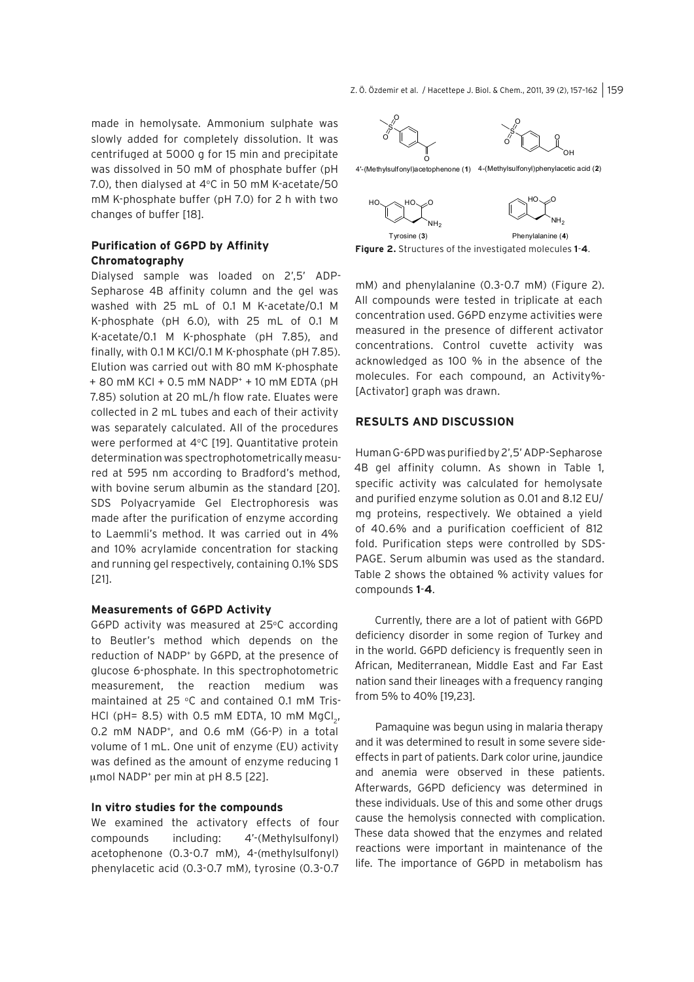Z. Ö. Özdemir et al. / Hacettepe J. Biol. & Chem., 2011, 39 (2), 157-162 | 159

made in hemolysate. Ammonium sulphate was slowly added for completely dissolution. It was centrifuged at 5000 g for 15 min and precipitate was dissolved in 50 mM of phosphate buffer (pH 7.0), then dialysed at  $4^{\circ}$ C in 50 mM K-acetate/50 mM K-phosphate buffer (pH 7.0) for 2 h with two changes of buffer [18].

# **Purification of G6PD by Affinity Chromatography**

Dialysed sample was loaded on 2',5' ADP-Sepharose 4B affinity column and the gel was washed with 25 mL of 0.1 M K-acetate/0.1 M K-phosphate (pH 6.0), with 25 mL of 0.1 M K-acetate/0.1 M K-phosphate (pH 7.85), and finally, with 0.1 M KCl/0.1 M K-phosphate (pH 7.85). Elution was carried out with 80 mM K-phosphate + 80 mM KCl + 0.5 mM NADP+ + 10 mM EDTA (pH 7.85) solution at 20 mL/h flow rate. Eluates were collected in 2 mL tubes and each of their activity was separately calculated. All of the procedures were performed at  $4^{\circ}$ C [19]. Quantitative protein determination was spectrophotometrically measured at 595 nm according to Bradford's method, with bovine serum albumin as the standard [20]. SDS Polyacryamide Gel Electrophoresis was made after the purification of enzyme according to Laemmli's method. It was carried out in 4% and 10% acrylamide concentration for stacking and running gel respectively, containing 0.1% SDS [21].

# **Measurements of G6PD Activity**

G6PD activity was measured at 25°C according to Beutler's method which depends on the reduction of NADP+ by G6PD, at the presence of glucose 6-phosphate. In this spectrophotometric measurement, the reaction medium was maintained at 25 °C and contained 0.1 mM Tris-HCl (pH=  $8.5$ ) with 0.5 mM EDTA, 10 mM MgCl<sub>2</sub>, 0.2 mM NADP<sup>+</sup>, and 0.6 mM (G6-P) in a total volume of 1 mL. One unit of enzyme (EU) activity was defined as the amount of enzyme reducing 1  $\mu$ mol NADP<sup>+</sup> per min at pH 8.5 [22].

#### **In vitro studies for the compounds**

We examined the activatory effects of four compounds including: 4'-(Methylsulfonyl) acetophenone (0.3-0.7 mM), 4-(methylsulfonyl) phenylacetic acid (0.3-0.7 mM), tyrosine (0.3-0.7



**Figure 2.** Structures of the investigated molecules **1**-**4**. Tyrosine $(3)$ Phenylalanine (4)

mM) and phenylalanine (0.3-0.7 mM) (Figure 2). All compounds were tested in triplicate at each concentration used. G6PD enzyme activities were measured in the presence of different activator concentrations. Control cuvette activity was acknowledged as 100 % in the absence of the molecules. For each compound, an Activity%- [Activator] graph was drawn.

## **RESULTS AND DISCUSSION**

Human G-6PD was purified by 2',5' ADP-Sepharose 4B gel affinity column. As shown in Table 1, specific activity was calculated for hemolysate and purified enzyme solution as 0.01 and 8.12 EU/ mg proteins, respectively. We obtained a yield of 40.6% and a purification coefficient of 812 fold. Purification steps were controlled by SDS-PAGE. Serum albumin was used as the standard. Table 2 shows the obtained % activity values for compounds **1**-**4**.

Currently, there are a lot of patient with G6PD deficiency disorder in some region of Turkey and in the world. G6PD deficiency is frequently seen in African, Mediterranean, Middle East and Far East nation sand their lineages with a frequency ranging from 5% to 40% [19,23].

Pamaquine was begun using in malaria therapy and it was determined to result in some severe sideeffects in part of patients. Dark color urine, jaundice and anemia were observed in these patients. Afterwards, G6PD deficiency was determined in these individuals. Use of this and some other drugs cause the hemolysis connected with complication. These data showed that the enzymes and related reactions were important in maintenance of the life. The importance of G6PD in metabolism has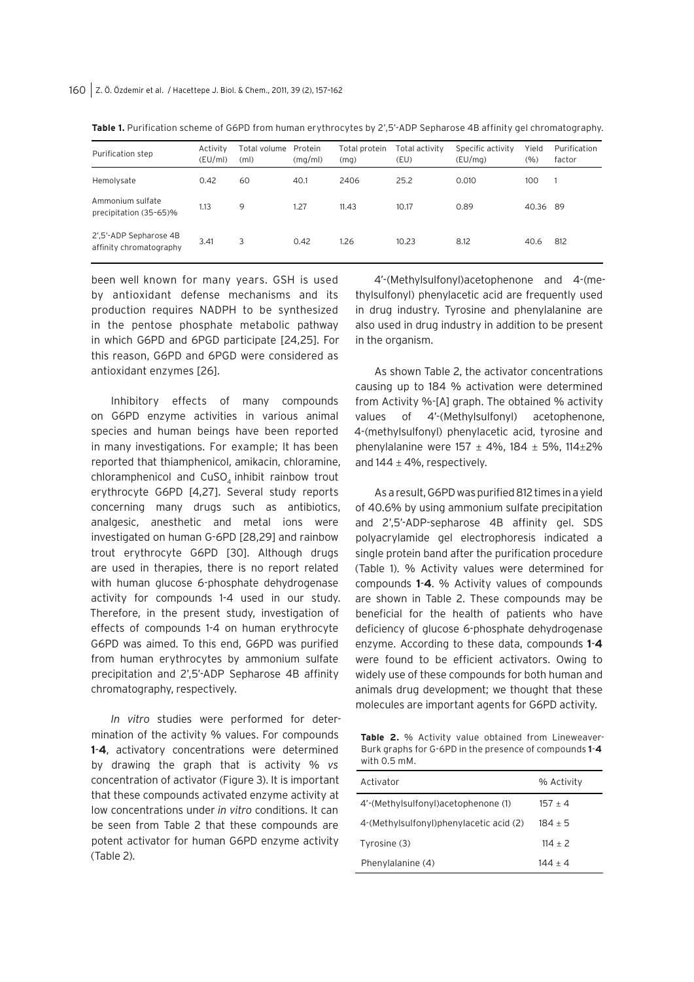| Purification step                                 | Activity<br>(EU/ml) | Total volume<br>(m <sub>l</sub> ) | Protein<br>(mq/ml) | Total protein<br>(mq) | Total activity<br>(EU) | Specific activity<br>(EU/mq) | Yield<br>(%) | Purification<br>factor |
|---------------------------------------------------|---------------------|-----------------------------------|--------------------|-----------------------|------------------------|------------------------------|--------------|------------------------|
| Hemolysate                                        | 0.42                | 60                                | 40.1               | 2406                  | 25.2                   | 0.010                        | 100          |                        |
| Ammonium sulfate<br>precipitation (35-65)%        | 1.13                | 9                                 | 1.27               | 11.43                 | 10.17                  | 0.89                         | 40.36 89     |                        |
| 2',5'-ADP Sepharose 4B<br>affinity chromatography | 3.41                | 3                                 | 0.42               | 1.26                  | 10.23                  | 8.12                         | 40.6         | 812                    |

**Table 1.** Purification scheme of G6PD from human erythrocytes by 2',5'-ADP Sepharose 4B affinity gel chromatography.

been well known for many years. GSH is used by antioxidant defense mechanisms and its production requires NADPH to be synthesized in the pentose phosphate metabolic pathway in which G6PD and 6PGD participate [24,25]. For this reason, G6PD and 6PGD were considered as antioxidant enzymes [26].

Inhibitory effects of many compounds on G6PD enzyme activities in various animal species and human beings have been reported in many investigations. For example; It has been reported that thiamphenicol, amikacin, chloramine, chloramphenicol and CuSO<sub>4</sub> inhibit rainbow trout erythrocyte G6PD [4,27]. Several study reports concerning many drugs such as antibiotics, analgesic, anesthetic and metal ions were investigated on human G-6PD [28,29] and rainbow trout erythrocyte G6PD [30]. Although drugs are used in therapies, there is no report related with human glucose 6-phosphate dehydrogenase activity for compounds 1-4 used in our study. Therefore, in the present study, investigation of effects of compounds 1-4 on human erythrocyte G6PD was aimed. To this end, G6PD was purified from human erythrocytes by ammonium sulfate precipitation and 2',5'-ADP Sepharose 4B affinity chromatography, respectively.

*In vitro* studies were performed for determination of the activity % values. For compounds **1**-**4**, activatory concentrations were determined by drawing the graph that is activity % *vs*  concentration of activator (Figure 3). It is important that these compounds activated enzyme activity at low concentrations under *in vitro* conditions. It can be seen from Table 2 that these compounds are potent activator for human G6PD enzyme activity (Table 2).

4'-(Methylsulfonyl)acetophenone and 4-(methylsulfonyl) phenylacetic acid are frequently used in drug industry. Tyrosine and phenylalanine are also used in drug industry in addition to be present in the organism.

As shown Table 2, the activator concentrations causing up to 184 % activation were determined from Activity %-[A] graph. The obtained % activity values of 4'-(Methylsulfonyl) acetophenone, 4-(methylsulfonyl) phenylacetic acid, tyrosine and phenylalanine were  $157 \pm 4\%$ ,  $184 \pm 5\%$ ,  $114 \pm 2\%$ and  $144 \pm 4\%$ , respectively.

As a result, G6PD was purified 812 times in a yield of 40.6% by using ammonium sulfate precipitation and 2',5'-ADP-sepharose 4B affinity gel. SDS polyacrylamide gel electrophoresis indicated a single protein band after the purification procedure (Table 1). % Activity values were determined for compounds **1**-**4**. % Activity values of compounds are shown in Table 2. These compounds may be beneficial for the health of patients who have deficiency of glucose 6-phosphate dehydrogenase enzyme. According to these data, compounds **1**-**4** were found to be efficient activators. Owing to widely use of these compounds for both human and animals drug development; we thought that these molecules are important agents for G6PD activity.

**Table 2.** % Activity value obtained from Lineweaver-Burk graphs for G-6PD in the presence of compounds **1**-**4** with 0.5 mM.

| Activator                               | % Activity |  |  |
|-----------------------------------------|------------|--|--|
| 4'-(Methylsulfonyl) acetophenone (1)    | $157 + 4$  |  |  |
| 4-(Methylsulfonyl)phenylacetic acid (2) | $184 + 5$  |  |  |
| Tyrosine (3)                            | $114 + 2$  |  |  |
| Phenylalanine (4)                       | 144 + 4    |  |  |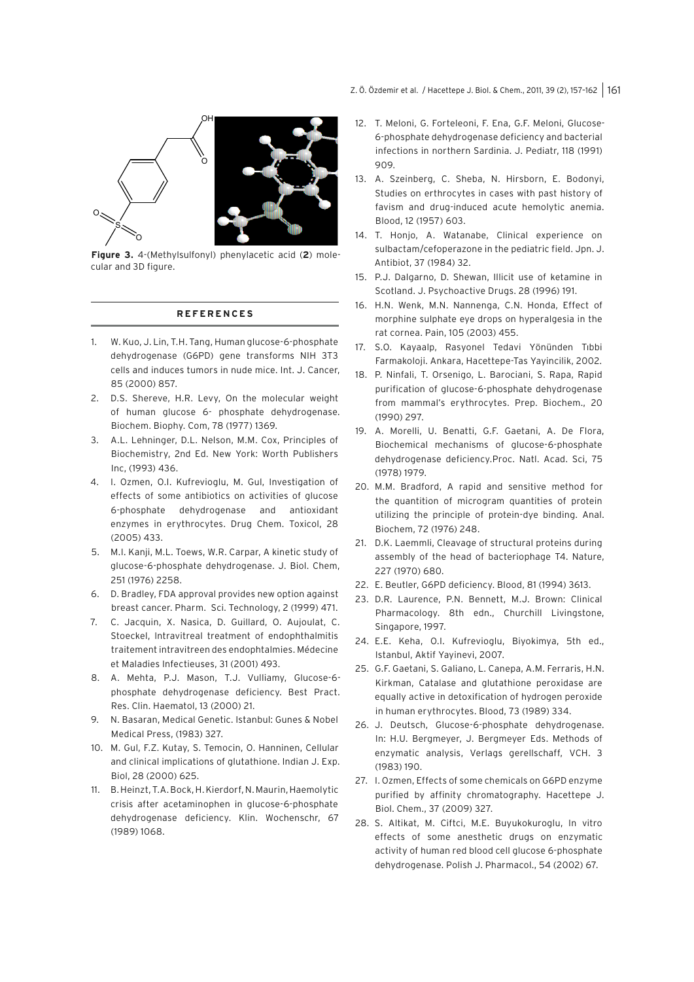Z. Ö. Özdemir et al. / Hacettepe J. Biol. & Chem., 2011, 39 (2), 157-162 | 161



**Figure 3.** 4-(Methylsulfonyl) phenylacetic acid (**2**) molecular and 3D figure.

### **REFERENCES**

- 1. W. Kuo, J. Lin, T.H. Tang, Human glucose-6-phosphate dehydrogenase (G6PD) gene transforms NIH 3T3 cells and induces tumors in nude mice. Int. J. Cancer, 85 (2000) 857.
- 2. D.S. Shereve, H.R. Levy, On the molecular weight of human glucose 6- phosphate dehydrogenase. Biochem. Biophy. Com, 78 (1977) 1369.
- 3. A.L. Lehninger, D.L. Nelson, M.M. Cox, Principles of Biochemistry, 2nd Ed. New York: Worth Publishers Inc, (1993) 436.
- 4. I. Ozmen, O.I. Kufrevioglu, M. Gul, Investigation of effects of some antibiotics on activities of glucose 6-phosphate dehydrogenase and antioxidant enzymes in erythrocytes. Drug Chem. Toxicol, 28 (2005) 433.
- 5. M.I. Kanji, M.L. Toews, W.R. Carpar, A kinetic study of glucose-6-phosphate dehydrogenase. J. Biol. Chem, 251 (1976) 2258.
- 6. D. Bradley, FDA approval provides new option against breast cancer. Pharm. Sci. Technology, 2 (1999) 471.
- 7. C. Jacquin, X. Nasica, D. Guillard, O. Aujoulat, C. Stoeckel, Intravitreal treatment of endophthalmitis traitement intravitreen des endophtalmies. Médecine et Maladies Infectieuses, 31 (2001) 493.
- 8. A. Mehta, P.J. Mason, T.J. Vulliamy, Glucose-6 phosphate dehydrogenase deficiency. Best Pract. Res. Clin. Haematol, 13 (2000) 21.
- 9. N. Basaran, Medical Genetic. Istanbul: Gunes & Nobel Medical Press, (1983) 327.
- 10. M. Gul, F.Z. Kutay, S. Temocin, O. Hanninen, Cellular and clinical implications of glutathione. Indian J. Exp. Biol, 28 (2000) 625.
- 11. B. Heinzt, T.A. Bock, H. Kierdorf, N. Maurin, Haemolytic crisis after acetaminophen in glucose-6-phosphate dehydrogenase deficiency. Klin. Wochenschr, 67 (1989) 1068.
- 12. T. Meloni, G. Forteleoni, F. Ena, G.F. Meloni, Glucose-6-phosphate dehydrogenase deficiency and bacterial infections in northern Sardinia. J. Pediatr, 118 (1991) 909.
- 13. A. Szeinberg, C. Sheba, N. Hirsborn, E. Bodonyi, Studies on erthrocytes in cases with past history of favism and drug-induced acute hemolytic anemia. Blood, 12 (1957) 603.
- 14. T. Honjo, A. Watanabe, Clinical experience on sulbactam/cefoperazone in the pediatric field. Jpn. J. Antibiot, 37 (1984) 32.
- 15. P.J. Dalgarno, D. Shewan, Illicit use of ketamine in Scotland. J. Psychoactive Drugs. 28 (1996) 191.
- 16. H.N. Wenk, M.N. Nannenga, C.N. Honda, Effect of morphine sulphate eye drops on hyperalgesia in the rat cornea. Pain, 105 (2003) 455.
- 17. S.O. Kayaalp, Rasyonel Tedavi Yönünden Tıbbi Farmakoloji. Ankara, Hacettepe-Tas Yayincilik, 2002.
- 18. P. Ninfali, T. Orsenigo, L. Barociani, S. Rapa, Rapid purification of glucose-6-phosphate dehydrogenase from mammal's erythrocytes. Prep. Biochem., 20 (1990) 297.
- 19. A. Morelli, U. Benatti, G.F. Gaetani, A. De Flora, Biochemical mechanisms of glucose-6-phosphate dehydrogenase deficiency.Proc. Natl. Acad. Sci, 75 (1978) 1979.
- 20. M.M. Bradford, A rapid and sensitive method for the quantition of microgram quantities of protein utilizing the principle of protein-dye binding. Anal. Biochem, 72 (1976) 248.
- 21. D.K. Laemmli, Cleavage of structural proteins during assembly of the head of bacteriophage T4. Nature, 227 (1970) 680.
- 22. E. Beutler, G6PD deficiency. Blood, 81 (1994) 3613.
- 23. D.R. Laurence, P.N. Bennett, M.J. Brown: Clinical Pharmacology. 8th edn., Churchill Livingstone, Singapore, 1997.
- 24. E.E. Keha, O.I. Kufrevioglu, Biyokimya, 5th ed., Istanbul, Aktif Yayinevi, 2007.
- 25. G.F. Gaetani, S. Galiano, L. Canepa, A.M. Ferraris, H.N. Kirkman, Catalase and glutathione peroxidase are equally active in detoxification of hydrogen peroxide in human erythrocytes. Blood, 73 (1989) 334.
- 26. J. Deutsch, Glucose-6-phosphate dehydrogenase. In: H.U. Bergmeyer, J. Bergmeyer Eds. Methods of enzymatic analysis, Verlags gerellschaff, VCH. 3 (1983) 190.
- 27. I. Ozmen, Effects of some chemicals on G6PD enzyme purified by affinity chromatography. Hacettepe J. Biol. Chem., 37 (2009) 327.
- 28. S. Altikat, M. Ciftci, M.E. Buyukokuroglu, In vitro effects of some anesthetic drugs on enzymatic activity of human red blood cell glucose 6-phosphate dehydrogenase. Polish J. Pharmacol., 54 (2002) 67.